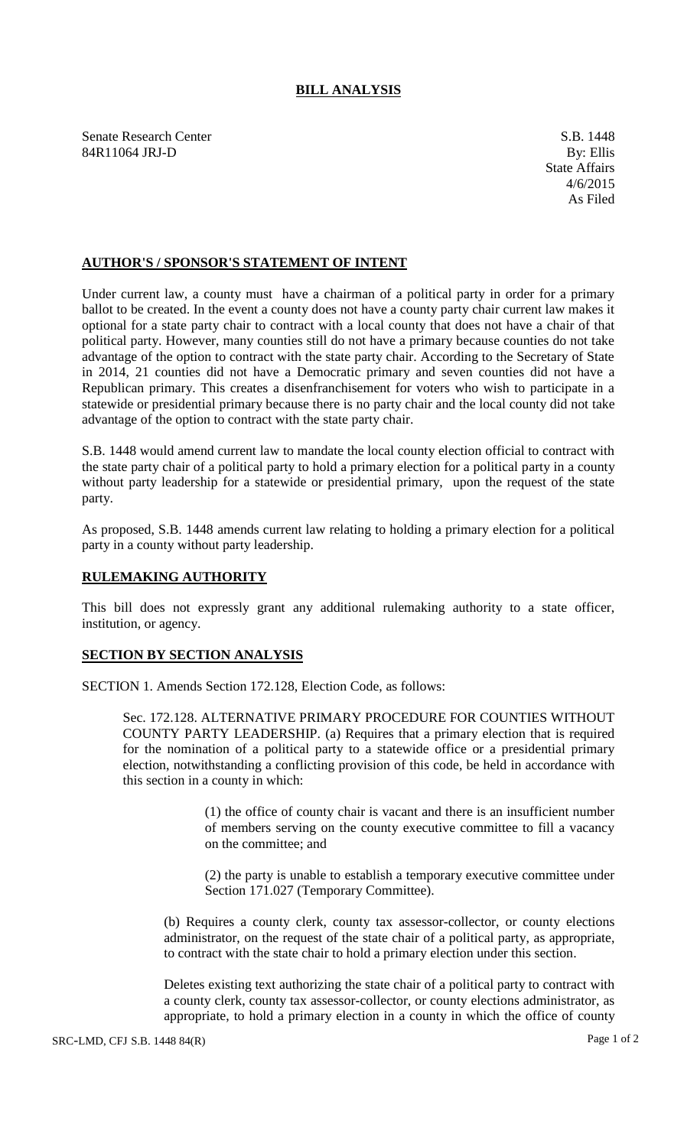## **BILL ANALYSIS**

Senate Research Center S.B. 1448 84R11064 JRJ-D By: Ellis

## **AUTHOR'S / SPONSOR'S STATEMENT OF INTENT**

Under current law, a county must have a chairman of a political party in order for a primary ballot to be created. In the event a county does not have a county party chair current law makes it optional for a state party chair to contract with a local county that does not have a chair of that political party. However, many counties still do not have a primary because counties do not take advantage of the option to contract with the state party chair. According to the Secretary of State in 2014, 21 counties did not have a Democratic primary and seven counties did not have a Republican primary. This creates a disenfranchisement for voters who wish to participate in a statewide or presidential primary because there is no party chair and the local county did not take advantage of the option to contract with the state party chair.

S.B. 1448 would amend current law to mandate the local county election official to contract with the state party chair of a political party to hold a primary election for a political party in a county without party leadership for a statewide or presidential primary, upon the request of the state party.

As proposed, S.B. 1448 amends current law relating to holding a primary election for a political party in a county without party leadership.

## **RULEMAKING AUTHORITY**

This bill does not expressly grant any additional rulemaking authority to a state officer, institution, or agency.

## **SECTION BY SECTION ANALYSIS**

SECTION 1. Amends Section 172.128, Election Code, as follows:

Sec. 172.128. ALTERNATIVE PRIMARY PROCEDURE FOR COUNTIES WITHOUT COUNTY PARTY LEADERSHIP. (a) Requires that a primary election that is required for the nomination of a political party to a statewide office or a presidential primary election, notwithstanding a conflicting provision of this code, be held in accordance with this section in a county in which:

> (1) the office of county chair is vacant and there is an insufficient number of members serving on the county executive committee to fill a vacancy on the committee; and

> (2) the party is unable to establish a temporary executive committee under Section 171.027 (Temporary Committee).

(b) Requires a county clerk, county tax assessor-collector, or county elections administrator, on the request of the state chair of a political party, as appropriate, to contract with the state chair to hold a primary election under this section.

Deletes existing text authorizing the state chair of a political party to contract with a county clerk, county tax assessor-collector, or county elections administrator, as appropriate, to hold a primary election in a county in which the office of county